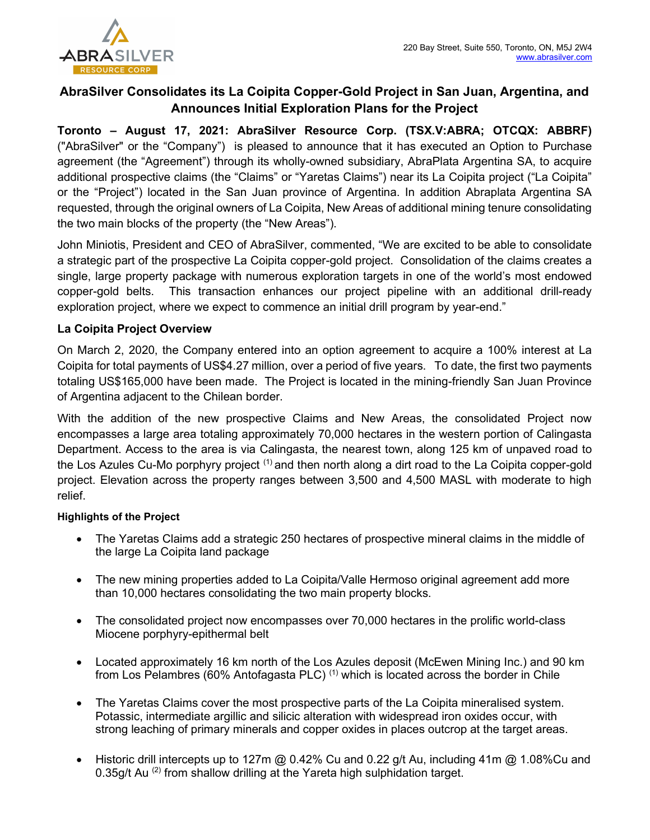

# AbraSilver Consolidates its La Coipita Copper-Gold Project in San Juan, Argentina, and Announces Initial Exploration Plans for the Project

Toronto – August 17, 2021: AbraSilver Resource Corp. (TSX.V:ABRA; OTCQX: ABBRF) ("AbraSilver" or the "Company") is pleased to announce that it has executed an Option to Purchase agreement (the "Agreement") through its wholly-owned subsidiary, AbraPlata Argentina SA, to acquire additional prospective claims (the "Claims" or "Yaretas Claims") near its La Coipita project ("La Coipita" or the "Project") located in the San Juan province of Argentina. In addition Abraplata Argentina SA requested, through the original owners of La Coipita, New Areas of additional mining tenure consolidating the two main blocks of the property (the "New Areas").

John Miniotis, President and CEO of AbraSilver, commented, "We are excited to be able to consolidate a strategic part of the prospective La Coipita copper-gold project. Consolidation of the claims creates a single, large property package with numerous exploration targets in one of the world's most endowed copper-gold belts. This transaction enhances our project pipeline with an additional drill-ready exploration project, where we expect to commence an initial drill program by year-end."

### La Coipita Project Overview

On March 2, 2020, the Company entered into an option agreement to acquire a 100% interest at La Coipita for total payments of US\$4.27 million, over a period of five years. To date, the first two payments totaling US\$165,000 have been made. The Project is located in the mining-friendly San Juan Province of Argentina adjacent to the Chilean border.

With the addition of the new prospective Claims and New Areas, the consolidated Project now encompasses a large area totaling approximately 70,000 hectares in the western portion of Calingasta Department. Access to the area is via Calingasta, the nearest town, along 125 km of unpaved road to the Los Azules Cu-Mo porphyry project  $(1)$  and then north along a dirt road to the La Coipita copper-gold project. Elevation across the property ranges between 3,500 and 4,500 MASL with moderate to high relief.

#### Highlights of the Project

- The Yaretas Claims add a strategic 250 hectares of prospective mineral claims in the middle of the large La Coipita land package
- The new mining properties added to La Coipita/Valle Hermoso original agreement add more than 10,000 hectares consolidating the two main property blocks.
- The consolidated project now encompasses over 70,000 hectares in the prolific world-class Miocene porphyry-epithermal belt
- Located approximately 16 km north of the Los Azules deposit (McEwen Mining Inc.) and 90 km from Los Pelambres (60% Antofagasta PLC)<sup>(1)</sup> which is located across the border in Chile
- The Yaretas Claims cover the most prospective parts of the La Coipita mineralised system. Potassic, intermediate argillic and silicic alteration with widespread iron oxides occur, with strong leaching of primary minerals and copper oxides in places outcrop at the target areas.
- Historic drill intercepts up to 127m @ 0.42% Cu and 0.22 g/t Au, including 41m @ 1.08%Cu and 0.35g/t Au <sup>(2)</sup> from shallow drilling at the Yareta high sulphidation target.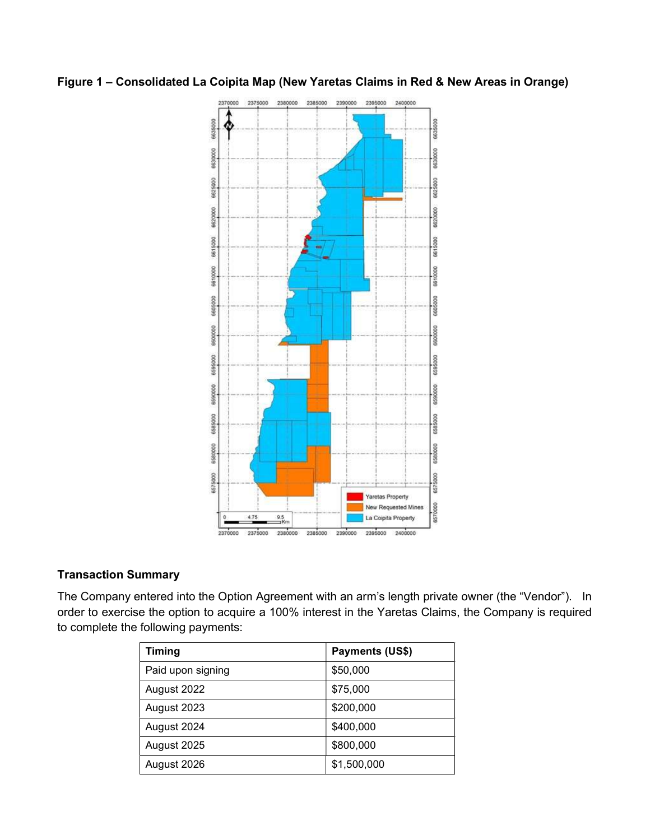## Figure 1 – Consolidated La Coipita Map (New Yaretas Claims in Red & New Areas in Orange)



#### Transaction Summary

The Company entered into the Option Agreement with an arm's length private owner (the "Vendor"). In order to exercise the option to acquire a 100% interest in the Yaretas Claims, the Company is required to complete the following payments:

| <b>Timing</b>     | Payments (US\$) |
|-------------------|-----------------|
| Paid upon signing | \$50,000        |
| August 2022       | \$75,000        |
| August 2023       | \$200,000       |
| August 2024       | \$400,000       |
| August 2025       | \$800,000       |
| August 2026       | \$1,500,000     |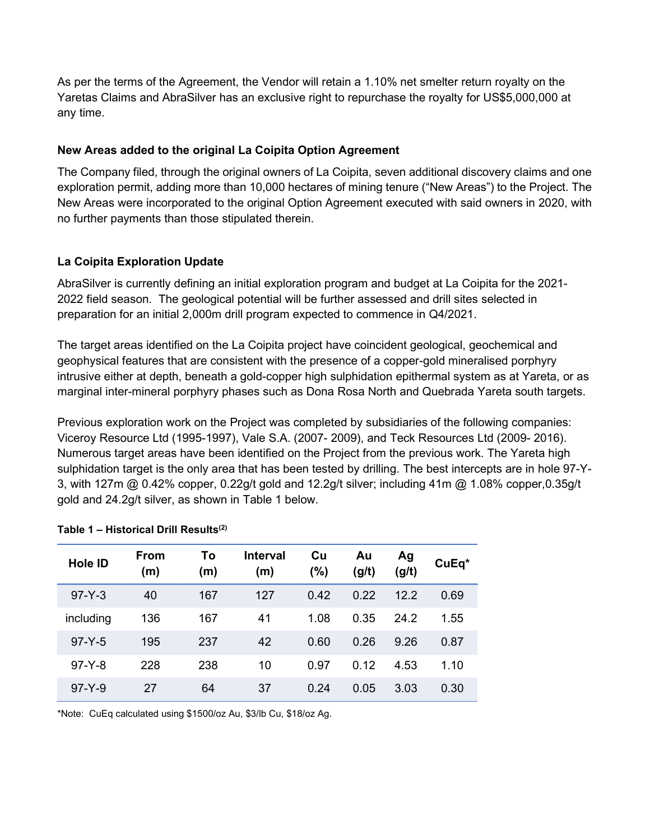As per the terms of the Agreement, the Vendor will retain a 1.10% net smelter return royalty on the Yaretas Claims and AbraSilver has an exclusive right to repurchase the royalty for US\$5,000,000 at any time.

### New Areas added to the original La Coipita Option Agreement

The Company filed, through the original owners of La Coipita, seven additional discovery claims and one exploration permit, adding more than 10,000 hectares of mining tenure ("New Areas") to the Project. The New Areas were incorporated to the original Option Agreement executed with said owners in 2020, with no further payments than those stipulated therein.

## La Coipita Exploration Update

AbraSilver is currently defining an initial exploration program and budget at La Coipita for the 2021- 2022 field season. The geological potential will be further assessed and drill sites selected in preparation for an initial 2,000m drill program expected to commence in Q4/2021.

The target areas identified on the La Coipita project have coincident geological, geochemical and geophysical features that are consistent with the presence of a copper-gold mineralised porphyry intrusive either at depth, beneath a gold-copper high sulphidation epithermal system as at Yareta, or as marginal inter-mineral porphyry phases such as Dona Rosa North and Quebrada Yareta south targets.

Previous exploration work on the Project was completed by subsidiaries of the following companies: Viceroy Resource Ltd (1995-1997), Vale S.A. (2007- 2009), and Teck Resources Ltd (2009- 2016). Numerous target areas have been identified on the Project from the previous work. The Yareta high sulphidation target is the only area that has been tested by drilling. The best intercepts are in hole 97-Y-3, with 127m @ 0.42% copper, 0.22g/t gold and 12.2g/t silver; including 41m @ 1.08% copper,0.35g/t gold and 24.2g/t silver, as shown in Table 1 below.

| <b>Hole ID</b> | From<br>(m) | To<br>(m) | <b>Interval</b><br>(m) | Cu<br>(%) | Au<br>(g/t) | Ag<br>(g/t) | CuEq* |
|----------------|-------------|-----------|------------------------|-----------|-------------|-------------|-------|
| $97 - Y - 3$   | 40          | 167       | 127                    | 0.42      | 0.22        | 12.2        | 0.69  |
| including      | 136         | 167       | 41                     | 1.08      | 0.35        | 24.2        | 1.55  |
| $97 - Y - 5$   | 195         | 237       | 42                     | 0.60      | 0.26        | 9.26        | 0.87  |
| $97 - Y - 8$   | 228         | 238       | 10                     | 0.97      | 0.12        | 4.53        | 1.10  |
| $97 - Y - 9$   | 27          | 64        | 37                     | 0.24      | 0.05        | 3.03        | 0.30  |

#### Table 1 – Historical Drill Results<sup>(2)</sup>

\*Note: CuEq calculated using \$1500/oz Au, \$3/lb Cu, \$18/oz Ag.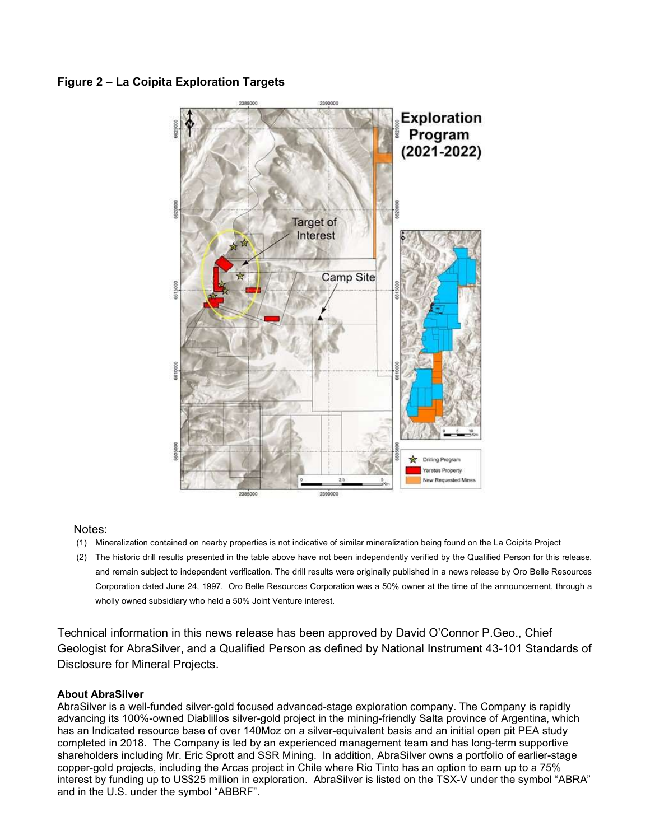### Figure 2 – La Coipita Exploration Targets



#### Notes:

- (1) Mineralization contained on nearby properties is not indicative of similar mineralization being found on the La Coipita Project
- (2) The historic drill results presented in the table above have not been independently verified by the Qualified Person for this release, and remain subject to independent verification. The drill results were originally published in a news release by Oro Belle Resources Corporation dated June 24, 1997. Oro Belle Resources Corporation was a 50% owner at the time of the announcement, through a wholly owned subsidiary who held a 50% Joint Venture interest.

Technical information in this news release has been approved by David O'Connor P.Geo., Chief Geologist for AbraSilver, and a Qualified Person as defined by National Instrument 43-101 Standards of Disclosure for Mineral Projects.

#### About AbraSilver

AbraSilver is a well-funded silver-gold focused advanced-stage exploration company. The Company is rapidly advancing its 100%-owned Diablillos silver-gold project in the mining-friendly Salta province of Argentina, which has an Indicated resource base of over 140Moz on a silver-equivalent basis and an initial open pit PEA study completed in 2018. The Company is led by an experienced management team and has long-term supportive shareholders including Mr. Eric Sprott and SSR Mining. In addition, AbraSilver owns a portfolio of earlier-stage copper-gold projects, including the Arcas project in Chile where Rio Tinto has an option to earn up to a 75% interest by funding up to US\$25 million in exploration. AbraSilver is listed on the TSX-V under the symbol "ABRA" and in the U.S. under the symbol "ABBRF".